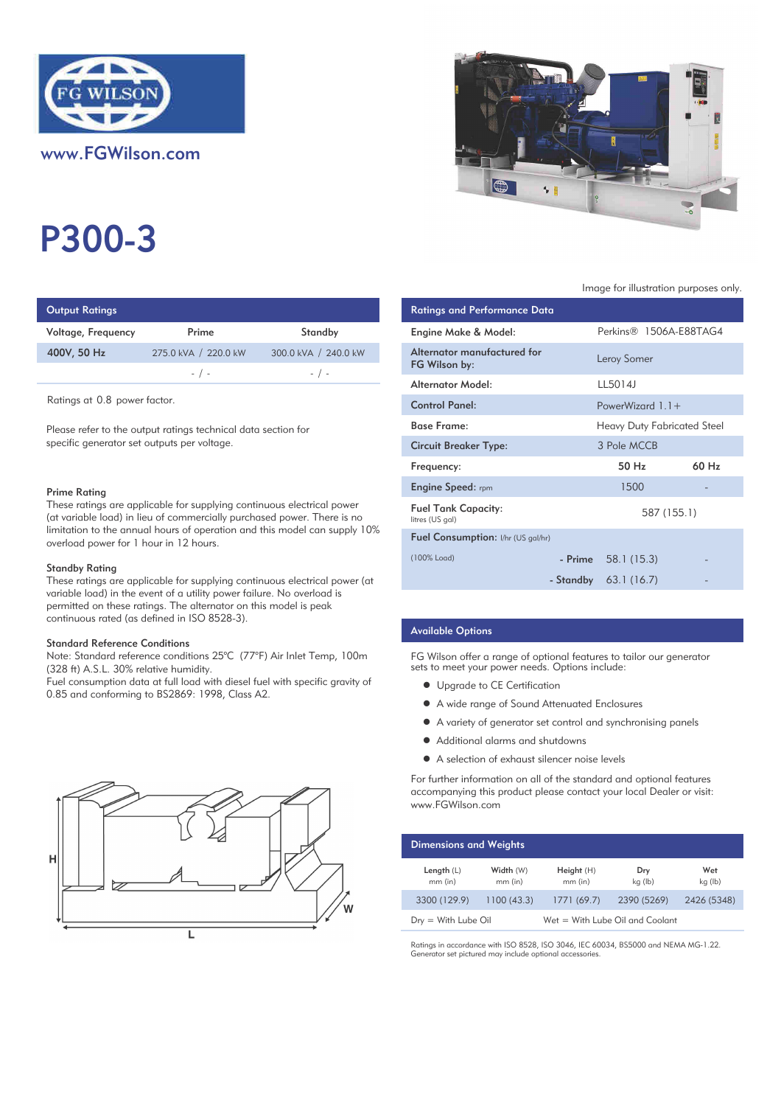

www.FGWilson.com

# P300-3

| <b>Output Ratings</b> |                      |                      | <b>Ratings and Performance Data</b> |
|-----------------------|----------------------|----------------------|-------------------------------------|
| Voltage, Frequency    | Prime                | Standby              | Engine Make & Model:                |
| 400V, 50 Hz           | 275.0 kVA / 220.0 kW | 300.0 kVA / 240.0 kW | Alternator manufactured for         |
|                       | $-$ / $-$            | $-$ / $-$            | FG Wilson by:                       |
|                       |                      |                      | Altowactor Model                    |

Ratings at 0.8 power factor.

Please refer to the output ratings technical data section for specific generator set outputs per voltage.

#### Prime Rating

These ratings are applicable for supplying continuous electrical power (at variable load) in lieu of commercially purchased power. There is no limitation to the annual hours of operation and this model can supply 10% overload power for 1 hour in 12 hours.

#### Standby Rating

These ratings are applicable for supplying continuous electrical power (at variable load) in the event of a utility power failure. No overload is permitted on these ratings. The alternator on this model is peak continuous rated (as defined in ISO 8528-3).

#### Standard Reference Conditions

Note: Standard reference conditions 25°C (77°F) Air Inlet Temp, 100m (328 ft) A.S.L. 30% relative humidity.

Fuel consumption data at full load with diesel fuel with specific gravity of 0.85 and conforming to BS2869: 1998, Class A2.





#### Image for illustration purposes only.

| ings                                                                                                                                                                                                                                                                                                                     |                                                                                                                                                                                                                                       |                                                                 | <b>Ratings and Performance Data</b>           |           |                                    |       |
|--------------------------------------------------------------------------------------------------------------------------------------------------------------------------------------------------------------------------------------------------------------------------------------------------------------------------|---------------------------------------------------------------------------------------------------------------------------------------------------------------------------------------------------------------------------------------|-----------------------------------------------------------------|-----------------------------------------------|-----------|------------------------------------|-------|
| equency                                                                                                                                                                                                                                                                                                                  | Prime                                                                                                                                                                                                                                 | Standby                                                         | Engine Make & Model:                          |           | Perkins® 1506A-E88TAG4             |       |
| łz                                                                                                                                                                                                                                                                                                                       | 275.0 kVA / 220.0 kW                                                                                                                                                                                                                  | 300.0 kVA / 240.0 kW                                            | Alternator manufactured for<br>FG Wilson by:  |           | Leroy Somer                        |       |
|                                                                                                                                                                                                                                                                                                                          | $-$ / $-$                                                                                                                                                                                                                             | $-$ / $-$                                                       | <b>Alternator Model:</b>                      |           | LL5014J                            |       |
| 0.8 power factor.                                                                                                                                                                                                                                                                                                        |                                                                                                                                                                                                                                       |                                                                 | <b>Control Panel:</b>                         |           | PowerWizard $1.1 +$                |       |
| r to the output ratings technical data section for<br>erator set outputs per voltage.<br>٦q<br>gs are applicable for supplying continuous electrical power<br>load) in lieu of commercially purchased power. There is no<br>o the annual hours of operation and this model can supply 10%<br>wer for 1 hour in 12 hours. |                                                                                                                                                                                                                                       |                                                                 | <b>Base Frame:</b>                            |           | <b>Heavy Duty Fabricated Steel</b> |       |
|                                                                                                                                                                                                                                                                                                                          |                                                                                                                                                                                                                                       |                                                                 | <b>Circuit Breaker Type:</b>                  |           | 3 Pole MCCB                        |       |
|                                                                                                                                                                                                                                                                                                                          |                                                                                                                                                                                                                                       |                                                                 | Frequency:                                    |           | 50 Hz                              | 60 Hz |
|                                                                                                                                                                                                                                                                                                                          |                                                                                                                                                                                                                                       |                                                                 | <b>Engine Speed: rpm</b>                      |           | 1500                               |       |
|                                                                                                                                                                                                                                                                                                                          |                                                                                                                                                                                                                                       |                                                                 | <b>Fuel Tank Capacity:</b><br>litres (US gal) |           | 587 (155.1)                        |       |
|                                                                                                                                                                                                                                                                                                                          |                                                                                                                                                                                                                                       |                                                                 | Fuel Consumption: I/hr (US gal/hr)            |           |                                    |       |
| ıtinq                                                                                                                                                                                                                                                                                                                    |                                                                                                                                                                                                                                       |                                                                 | (100% Load)                                   | - Prime   | 58.1 (15.3)                        |       |
|                                                                                                                                                                                                                                                                                                                          | $\mathbb{R}^n$ and $\mathbb{R}^n$ are the contracted for the contracted for the contracted for the contracted for the contracted for the contracted for the contracted for the contracted for the contracted for the contracted for t | gs are applicable for supplying continuous electrical power (at |                                               | - Standby | 63.1(16.7)                         |       |

## Available Options

FG Wilson offer a range of optional features to tailor our generator sets to meet your power needs. Options include:

- Upgrade to CE Certification
- $\bullet$  A wide range of Sound Attenuated Enclosures
- $\bullet$  A variety of generator set control and synchronising panels
- $\bullet$  Additional alarms and shutdowns
- A selection of exhaust silencer noise levels

For further information on all of the standard and optional features accompanying this product please contact your local Dealer or visit: www.FGWilson.com

| <b>Dimensions and Weights</b> |                        |                                 |                |                |  |
|-------------------------------|------------------------|---------------------------------|----------------|----------------|--|
| Length $(L)$<br>$mm$ (in)     | Width (W)<br>$mm$ (in) | Height (H)<br>$mm$ (in)         | Dry<br>kg (lb) | Wet<br>kg (lb) |  |
| 3300 (129.9)                  | 1100(43.3)             | 1771(69.7)                      | 2390 (5269)    | 2426 (5348)    |  |
| $Dry = With Lube Oil$         |                        | Wet = With Lube Oil and Coolant |                |                |  |

Ratings in accordance with ISO 8528, ISO 3046, IEC 60034, BS5000 and NEMA MG-1.22. \*HQHUDWRUVHWSLFWXUHGPD\LQFOXGHRSWLRQDODFFHVVRULHV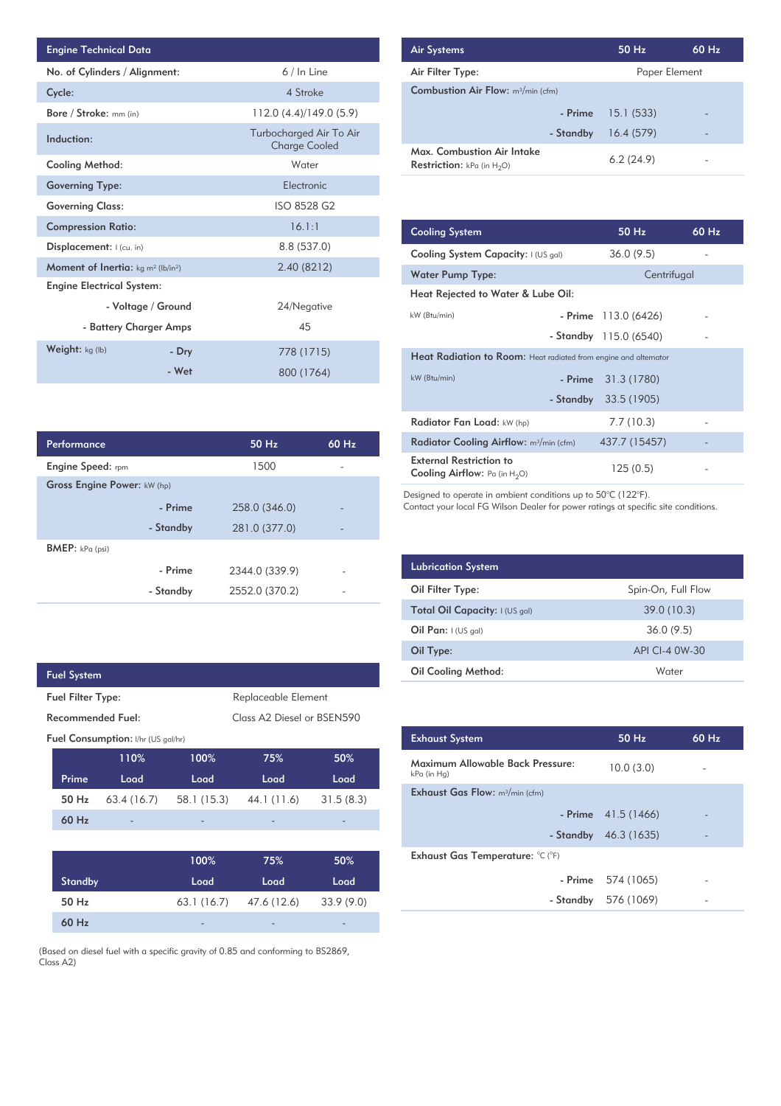| <b>Engine Technical Data</b>                                |       |                                                 |  |  |
|-------------------------------------------------------------|-------|-------------------------------------------------|--|--|
| No. of Cylinders / Alignment:                               |       | 6 / In Line                                     |  |  |
| Cycle:                                                      |       | 4 Stroke                                        |  |  |
| Bore / Stroke: mm (in)                                      |       | 112.0 (4.4)/149.0 (5.9)                         |  |  |
| Induction:                                                  |       | Turbocharged Air To Air<br><b>Charge Cooled</b> |  |  |
| <b>Cooling Method:</b>                                      |       | Water                                           |  |  |
| <b>Governing Type:</b>                                      |       | Flectronic                                      |  |  |
| <b>Governing Class:</b>                                     |       | ISO 8528 G2                                     |  |  |
| <b>Compression Ratio:</b>                                   |       | 16.1:1                                          |  |  |
| Displacement:   (cu. in)                                    |       | 8.8 (537.0)                                     |  |  |
| <b>Moment of Inertia:</b> $kg \, m^2$ (lb/in <sup>2</sup> ) |       | 2.40 (8212)                                     |  |  |
| <b>Engine Electrical System:</b>                            |       |                                                 |  |  |
| - Voltage / Ground                                          |       | 24/Negative                                     |  |  |
| - Battery Charger Amps                                      |       | 45                                              |  |  |
| Weight: $kg (lb)$                                           | - Dry | 778 (1715)                                      |  |  |
|                                                             | - Wet | 800 (1764)                                      |  |  |

| Air Systems                                                        | 50 Hz         | 60 Hz |
|--------------------------------------------------------------------|---------------|-------|
| Air Filter Type:                                                   | Paper Element |       |
| <b>Combustion Air Flow:</b> m <sup>3</sup> /min (cfm)              |               |       |
| - Prime                                                            | 15.1(533)     |       |
| - Standby                                                          | 16.4(579)     |       |
| Max. Combustion Air Intake<br><b>Restriction:</b> kPa (in $H_2O$ ) | 6.2(24.9)     |       |

| <b>Cooling System</b>                                                     | 50 Hz                  | $60$ Hz |
|---------------------------------------------------------------------------|------------------------|---------|
| Cooling System Capacity: I (US gal)                                       | 36.0(9.5)              |         |
| Water Pump Type:                                                          | Centrifugal            |         |
| Heat Rejected to Water & Lube Oil:                                        |                        |         |
| kW (Btu/min)                                                              | - Prime 113.0 (6426)   |         |
|                                                                           | - Standby 115.0 (6540) |         |
| Heat Radiation to Room: Heat radiated from engine and alternator          |                        |         |
| kW (Btu/min)                                                              | $-$ Prime $31.3(1780)$ |         |
|                                                                           | - Standby 33.5 (1905)  |         |
| Radiator Fan Load: kW (hp)                                                | 7.7(10.3)              |         |
| Radiator Cooling Airflow: $m^3/m$ in (cfm)                                | 437.7 (15457)          |         |
| <b>External Restriction to</b><br><b>Cooling Airflow:</b> Pa (in $H_2O$ ) | 125(0.5)               |         |

Designed to operate in ambient conditions up to 50°C (122°F).<br>Contact your local FG Wilson Dealer for power ratings at specific site conditions.

| <b>Lubrication System</b>      |                    |
|--------------------------------|--------------------|
| Oil Filter Type:               | Spin-On, Full Flow |
| Total Oil Capacity: I (US gal) | 39.0 (10.3)        |
| Oil Pan: $(US gal)$            | 36.0(9.5)          |
| Oil Type:                      | API CI-4 0W-30     |
| <b>Oil Cooling Method:</b>     | Water              |

| <b>Exhaust System</b>                           | $50$ Hz                | $60$ Hz |
|-------------------------------------------------|------------------------|---------|
| Maximum Allowable Back Pressure:<br>kPa (in Hg) | 10.0(3.0)              |         |
| <b>Exhaust Gas Flow:</b> $m^3/m$ in (cfm)       |                        |         |
|                                                 | $-$ Prime $41.5(1466)$ |         |
|                                                 | - Standby $46.3(1635)$ |         |
| Exhaust Gas Temperature: °C (°F)                |                        |         |
|                                                 | $-$ Prime $574(1065)$  |         |
|                                                 | - Standby 576 (1069)   |         |
|                                                 |                        |         |

| Performance                        |           | $50$ Hz        | 60 Hz                    |
|------------------------------------|-----------|----------------|--------------------------|
| <b>Engine Speed:</b> rpm           |           | 1500           |                          |
| <b>Gross Engine Power: kW (hp)</b> |           |                |                          |
|                                    | - Prime   | 258.0 (346.0)  |                          |
|                                    | - Standby | 281.0 (377.0)  | $\overline{\phantom{0}}$ |
| <b>BMEP:</b> $kPa$ (psi)           |           |                |                          |
|                                    | - Prime   | 2344.0 (339.9) |                          |
|                                    | - Standby | 2552.0 (370.2) |                          |

L

| <b>Fuel System</b>                              |                                           |             |                            |           |  |
|-------------------------------------------------|-------------------------------------------|-------------|----------------------------|-----------|--|
| Replaceable Element<br><b>Fuel Filter Type:</b> |                                           |             |                            |           |  |
| Recommended Fuel:                               |                                           |             | Class A2 Diesel or BSEN590 |           |  |
|                                                 | <b>Fuel Consumption:</b> I/hr (US gal/hr) |             |                            |           |  |
|                                                 | 110%                                      | 100%        | 75%                        | 50%       |  |
| Prime                                           | Load                                      | Load        | Load                       | Load      |  |
| 50 Hz                                           | 63.4 (16.7)                               | 58.1 (15.3) | 44.1 (11.6)                | 31.5(8.3) |  |
| 60 Hz                                           |                                           |             |                            |           |  |
|                                                 |                                           |             |                            |           |  |
|                                                 |                                           | 100%        | 75%                        | 50%       |  |
| <b>Standby</b>                                  |                                           | Load        | Load                       | Load      |  |
| 50 Hz                                           |                                           | 63.1 (16.7) | 47.6 (12.6)                | 33.9(9.0) |  |
| $60$ Hz                                         |                                           |             |                            |           |  |

(Based on diesel fuel with a specific gravity of 0.85 and conforming to BS2869,<br>Class A2)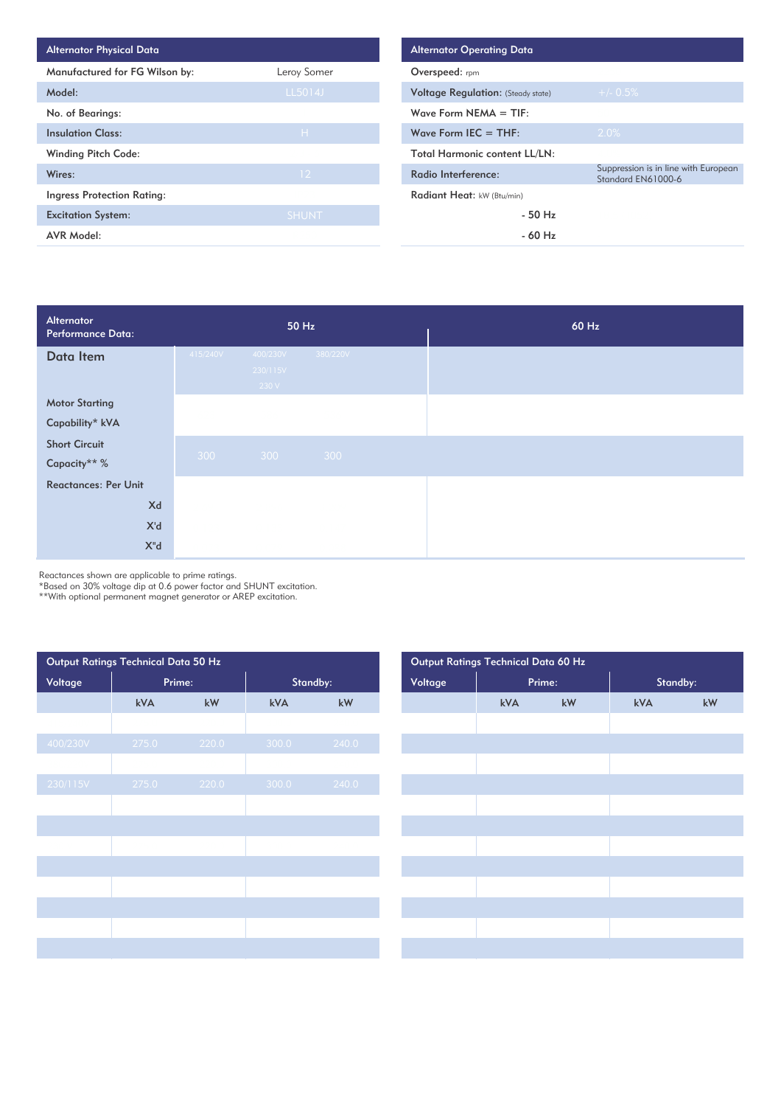| <b>Alternator Physical Data</b>   |                 |
|-----------------------------------|-----------------|
| Manufactured for FG Wilson by:    | Leroy Somer     |
| Model:                            | LL5014J         |
| No. of Bearings:                  |                 |
| <b>Insulation Class:</b>          | H               |
| <b>Winding Pitch Code:</b>        |                 |
| Wires:                            | 12 <sup>2</sup> |
| <b>Ingress Protection Rating:</b> |                 |
| <b>Excitation System:</b>         | <b>SHUNT</b>    |
| <b>AVR Model:</b>                 |                 |

| Alternator<br>Performance Data: |          | 50 Hz             |          | 60 Hz |
|---------------------------------|----------|-------------------|----------|-------|
| Data Item                       | 415/240V | 400/230V          | 380/220V |       |
|                                 |          | 230/115V<br>230 V |          |       |
| <b>Motor Starting</b>           |          |                   |          |       |
| Capability* kVA                 |          |                   |          |       |
| <b>Short Circuit</b>            |          |                   |          |       |
| Capacity** %                    | 300      | 300               | 300      |       |
| <b>Reactances: Per Unit</b>     |          |                   |          |       |
| Xd                              |          |                   |          |       |
| X'd                             |          |                   |          |       |
| X"d                             |          |                   |          |       |

Reactances shown are applicable to prime ratings.

\*Based on 30% voltage dip at 0.6 power factor and SHUNT excitation.

\*\*With optional permanent magnet generator or AREP excitation.

| Output Ratings Technical Data 50 Hz |        |       |          | Output Ratings Technical Data 60 Hz |         |     |        |          |
|-------------------------------------|--------|-------|----------|-------------------------------------|---------|-----|--------|----------|
| Voltage                             | Prime: |       | Standby: |                                     | Voltage |     | Prime: | Standby: |
|                                     | kVA    | kW    | kVA      | kW                                  |         | kVA | kW     | kVA      |
|                                     |        |       |          |                                     |         |     |        |          |
| 400/230V                            | 275.0  | 220.0 | 300.0    | 240.0                               |         |     |        |          |
|                                     |        |       |          |                                     |         |     |        |          |
| 230/115V                            | 275.0  | 220.0 | 300.0    | 240.0                               |         |     |        |          |
|                                     |        |       |          |                                     |         |     |        |          |
|                                     |        |       |          |                                     |         |     |        |          |
|                                     |        |       |          |                                     |         |     |        |          |
|                                     |        |       |          |                                     |         |     |        |          |
|                                     |        |       |          |                                     |         |     |        |          |
|                                     |        |       |          |                                     |         |     |        |          |
|                                     |        |       |          |                                     |         |     |        |          |
|                                     |        |       |          |                                     |         |     |        |          |